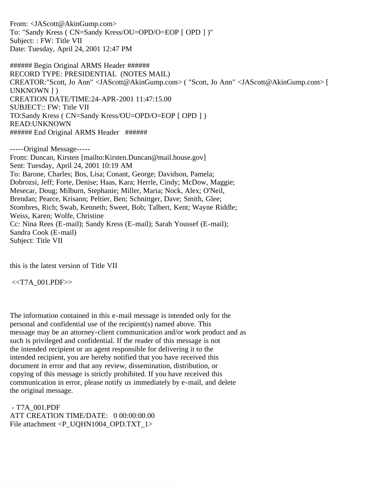From: <JAScott@AkinGump.com> To: "Sandy Kress ( CN=Sandy Kress/OU=OPD/O=EOP [ OPD ] )" Subject: : FW: Title VII Date: Tuesday, April 24, 2001 12:47 PM

###### Begin Original ARMS Header ###### RECORD TYPE: PRESIDENTIAL (NOTES MAIL) CREATOR:"Scott, Jo Ann" <JAScott@AkinGump.com> ( "Scott, Jo Ann" <JAScott@AkinGump.com> [ UNKNOWN ] ) CREATION DATE/TIME:24-APR-2001 11:47:15.00 SUBJECT:: FW: Title VII TO:Sandy Kress ( CN=Sandy Kress/OU=OPD/O=EOP [ OPD ] ) READ:UNKNOWN ###### End Original ARMS Header ######

-----Original Message----- From: Duncan, Kirsten [mailto:Kirsten.Duncan@mail.house.gov] Sent: Tuesday, April 24, 2001 10:19 AM To: Barone, Charles; Bos, Lisa; Conant, George; Davidson, Pamela; Dobrozsi, Jeff; Forte, Denise; Haas, Kara; Herrle, Cindy; McDow, Maggie; Mesecar, Doug; Milburn, Stephanie; Miller, Maria; Nock, Alex; O'Neil, Brendan; Pearce, Krisann; Peltier, Ben; Schnittger, Dave; Smith, Glee; Stombres, Rich; Swab, Kenneth; Sweet, Bob; Talbert, Kent; Wayne Riddle; Weiss, Karen; Wolfe, Christine Cc: Nina Rees (E-mail); Sandy Kress (E-mail); Sarah Youssef (E-mail); Sandra Cook (E-mail) Subject: Title VII

this is the latest version of Title VII

<<T7A\_001.PDF>>

The information contained in this e-mail message is intended only for the personal and confidential use of the recipient(s) named above. This message may be an attorney-client communication and/or work product and as such is privileged and confidential. If the reader of this message is not the intended recipient or an agent responsible for delivering it to the intended recipient, you are hereby notified that you have received this document in error and that any review, dissemination, distribution, or copying of this message is strictly prohibited. If you have received this communication in error, please notify us immediately by e-mail, and delete the original message.

 - T7A\_001.PDF ATT CREATION TIME/DATE: 0 00:00:00.00 File attachment <P\_UQHN1004\_OPD.TXT\_1>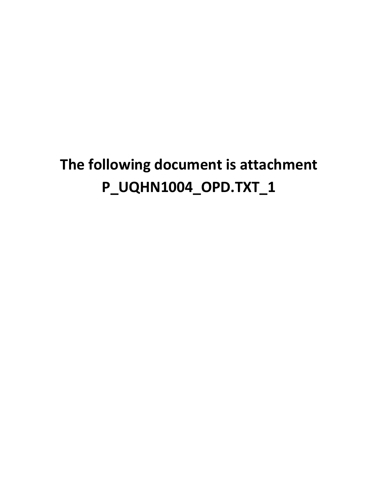# **The following document is attachment P\_UQHN1004\_OPD.TXT\_1**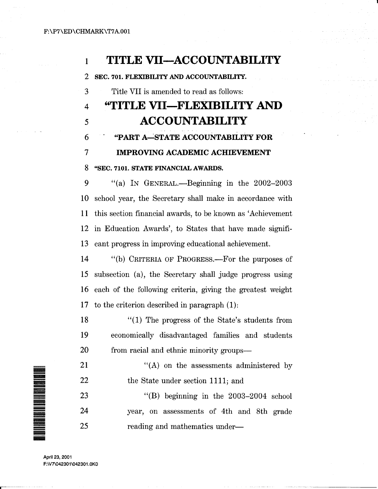### <sup>1</sup>**TITLE VII-ACCOUNTABILITY**

2 SEC. 701. FLEXIBILITY AND ACCOUNTABILITY.

3 Title VII is amended to read as follows:

## 4 **"TITLE VII-FLEXIBILITY** AND 5 **ACCOUNTABILITY**

6 "PART A~STATE ACCOUNTABILITY FOR

#### 7 IMPROVING ACADEMIC ACHIEVEMENT

#### 8 "SEC. 7101. STATE FINANCIAL AWARDS.

9 "(a) In GENERAL.—Beginning in the 2002-2003 10 school year, the Secretary shall make in accordance with 11 this section financial awards, to be known as 'Achievement 12 in Education Awards', to States that have made signifi-13 cant progress in improving educational achievement.

14 "(b) CRITERIA OF PROGRESS.—For the purposes of 15 subsection (a), the Secretary shall judge progress using 16 each of the following criteria, giving the greatest weight 17 to the criterion described in paragraph (1):

18 19 20  $\cdot$  (1) The progress of the State's students from economically disadvantaged families and students from racial and ethnic minority groups-

21 22 '' (A) on the assessments administered by the State under section 1111; and

23 24 25 "(B) beginning in the 2003-2004 school year, on assessments of 4th and 8th grade reading and mathematics under-



.----- ---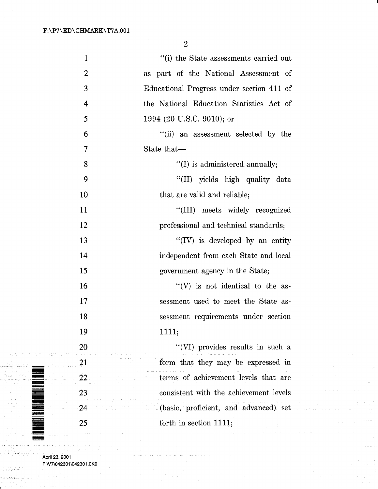| $\mathbf{1}$   | "(i) the State assessments carried out    |
|----------------|-------------------------------------------|
| $\overline{2}$ | as part of the National Assessment of     |
| 3              | Educational Progress under section 411 of |
| 4              | the National Education Statistics Act of  |
| 5              | 1994 (20 U.S.C. 9010); or                 |
| 6              | "(ii) an assessment selected by the       |
| 7              | State that—                               |
| 8              | $\lq\lq$ (I) is administered annually;    |
| 9              | "(II) yields high quality data            |
| 10             | that are valid and reliable;              |
| 11             | "(III) meets widely recognized            |
| 12             | professional and technical standards;     |
| 13             | $\lq\lq (IV)$ is developed by an entity   |
| 14             | independent from each State and local     |
| 15             | government agency in the State;           |
| 16             | "(V) is not identical to the as-          |
| 17             | sessment used to meet the State as-       |
| 18             | sessment requirements under section       |
| 19             | 1111;                                     |
| 20             | "(VI) provides results in such a          |
| 21             | form that they may be expressed in        |
| 22             | terms of achievement levels that are      |
| 23             | consistent with the achievement levels    |
| 24             | (basic, proficient, and advanced) set     |
| 25             | forth in section $1111;$                  |
|                |                                           |

 $\mathcal{L}$ 

April 23, 2001 F:\V7\042301\042301.0KO

 $\sigma_{\rm 2D}$  ,  $\sigma_{\rm 2D}$  ,  $\sigma_{\rm 2D}$ 

 $\bar{\mathcal{A}}$ 

أدروه مواردهم

÷,

ilian ing Kabupatèn Kabupatèn Kabupatèn Kabupatèn Kabupatèn Kabupatèn Kabupatèn Kabupatèn Kabupatèn Kabupatèn

大成功

and a Selfin (1

. . .

an an a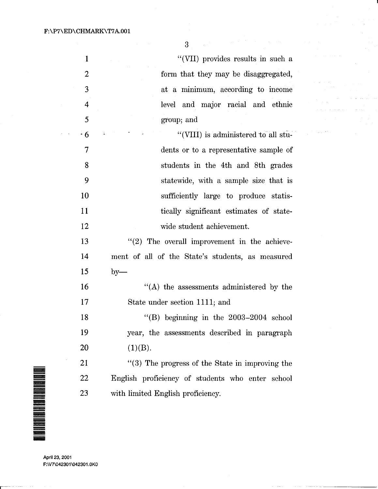1 2 3 4 5 . 6 7 8 9 10 11 12 13 14 15 16 17 18 19 20 21 ''(VII) provides results in such a form that they may be disaggregated, at a minimum, according to income level and major racial and ethnic group; and "(VIII) is administered to all students or to a representative sample of students in the 4th and 8th grades statewide, with a sample size that is sufficiently large to produce statistically significant estimates of statewide student achievement. "(2) The overall improvement in the achievement of all of the State's students, as measured  $by-$ "(A) the assessments administered by the State under section 1111; and "(B) beginning in the 2003-2004 school year, the assessments described in paragraph  $(1)(B).$ "(3) The progress of the State in improving the English proficiency of students who enter school with limited English proficiency.

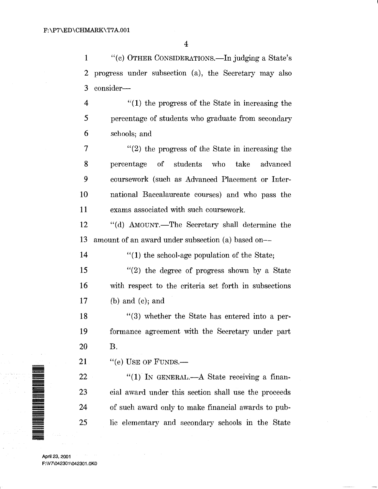1 "(c) OTHER CONSIDERATIONS.—In judging a State's 2 progress under subsection (a), the Secretary may also 3 consider-

4 5 6 "(1) the progress of the State in increasing the percentage of students who graduate from secondary schools; and

7 8 9 10 11 "(2) the progress of the State in increasing the percentage of students who take advanced coursework (such as Advanced Placement or International Baccalaureate courses) and who pass the exams associated with such coursework.

12 13 "(d) AMOUNT.—The Secretary shall determine the amount of an award under subsection (a) based on-

14 "(1) the school-age population of the State;

15 16 17 "(2) the degree of progress shown by a State with respect to the criteria set forth in subsections (b) and (c); and

18 19 20 "(3) whether the State has entered into a performance agreement with the Secretary under part B.

21  $"$ (e) USE OF FUNDS.—

" $(1)$  In GENERAL.—A State receiving a financial award under this section shall use the proceeds of such award only to make financial awards to public elementary and secondary schools in the State

April 23, 2001 F:\V7\042301\042301.0KO

22

23

24

25

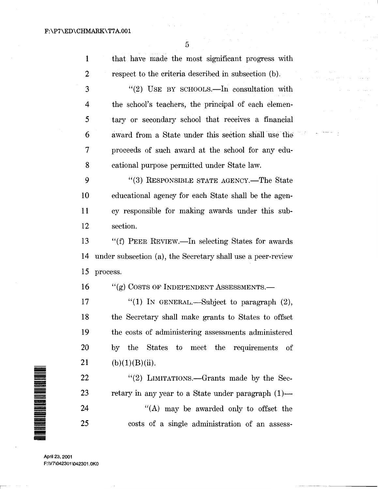a a sa pagayan

 $\label{eq:1} \frac{\mathbf{P}(\mathbf{P}(\mathbf{Q}) \mid \mathbf{Q})}{\mathbf{P}(\mathbf{Q})} = \mathbf{Q}(\mathbf{Q}) \frac{1}{\mathbf{Q}}$ 

 $\tilde{\mathcal{I}}$  .

| $\mathbf{1}$ | that have made the most significant progress with           |
|--------------|-------------------------------------------------------------|
| 2            | respect to the criteria described in subsection (b).        |
| 3            | "(2) USE BY SCHOOLS.—In consultation with                   |
| 4            | the school's teachers, the principal of each elemen-        |
| 5            | tary or secondary school that receives a financial          |
| 6            | award from a State under this section shall use the         |
| 7            | proceeds of such award at the school for any edu-           |
| 8            | cational purpose permitted under State law.                 |
| 9            | "(3) RESPONSIBLE STATE AGENCY.—The State                    |
| 10           | educational agency for each State shall be the agen-        |
| 11           | cy responsible for making awards under this sub-            |
| 12           | section.                                                    |
| 13           | "(f) PEER REVIEW.—In selecting States for awards            |
| 14           | under subsection (a), the Secretary shall use a peer-review |
| 15           | process.                                                    |
| 16           | $``(g)$ Costs of Independent Assessments.—                  |
| 17           | "(1) IN GENERAL.—Subject to paragraph $(2)$ ,               |
| 18           | the Secretary shall make grants to States to offset         |
| 19           | the costs of administering assessments administered         |
| 20           | by the States to meet the requirements<br>of                |
| 21           | (b)(1)(B)(ii).                                              |
| 22           | "(2) LIMITATIONS.—Grants made by the Sec-                   |
| 23           | retary in any year to a State under paragraph (1)—          |
| 24           | "(A) may be awarded only to offset the                      |
| 25           | costs of a single administration of an assess-              |
|              |                                                             |

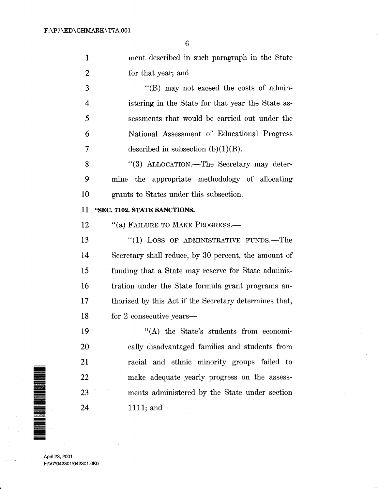1 ment described in such paragraph in the State 2 for that year; and

3 "(B) may not exceed the costs of admin-4 istering in the State for that year the State as-5 sessments that would be carried out under the 6 National Assessment of Educational Progress 7 described in subsection  $(b)(1)(B)$ .

8 " (3) ALLOCATION.—The Secretary may deter-9 mine the appropriate methodology of allocating 10 grants to States under this subsection.

#### 11 "SEC. 7102. STATE SANCTIONS.

12 "(a) FAILURE TO MAKE PROGRESS.-

13 14 15 16 17 18 "(1) LOSS OF ADMINISTRATIVE FUNDS.-The Secretary shall reduce, by 30 percent, the amount of funding that a State may reserve for State administration under the State formula grant programs authorized by this Act if the Secretary determines that, for 2 consecutive years—

> "(A) the State's students from economically disadvantaged families and students from racial and ethnic minority groups failed to make adequate yearly progress on the assessments administered by the State under section 1111; and

....... = ~ ###<br>### ==== !!!!!!!!!!!!!!! <u>"""</u>" -<br>-<br>-<br>-=<br>=<br>= =<br>= = =

<u>""""</u><br>"

April 23, 2001 F:\V7\042301\042301.0KO

19

20

21

22

23

24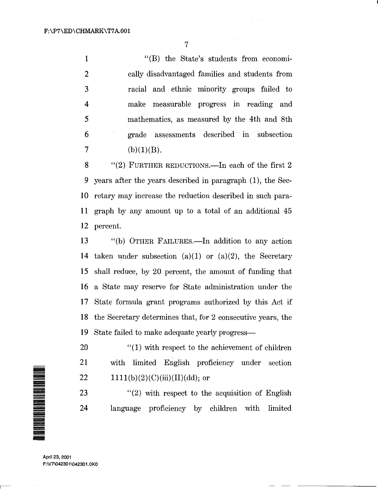1 2 3 4 5 6 "(B) the State's students from economically disadvantaged families and students from racial and ethnic minority groups failed to make measurable progress in reading and mathematics, as measured by the 4th and 8th grade assessments described in subsection 7 (b)(1)(B).

8 "(2) FURTHER REDUCTIONS.—In each of the first 2 9 years after the years described in paragraph ( 1), the Sec-10 retary may increase the reduction described in such para-11 graph by any amount up to a total of an additional 45 12 percent.

13 14 15 16 17 18 19 "(b) OTHER FAILURES.-ln addition to any action taken under subsection (a)(1) or (a)(2), the Secretary shall reduce, by 20 percent, the amount of funding that a State may reserve for State administration under the State formula grant programs authorized by this Act if the Secretary determines that, for 2 consecutive years, the State failed to make adequate yearly progress-

20 21 22  $''(1)$  with respect to the achievement of children with limited English proficiency under section  $1111(b)(2)(C)(iii)(II)(dd);$  or

23 24 "(2) with respect to the acquisition of English language proficiency by children with limited

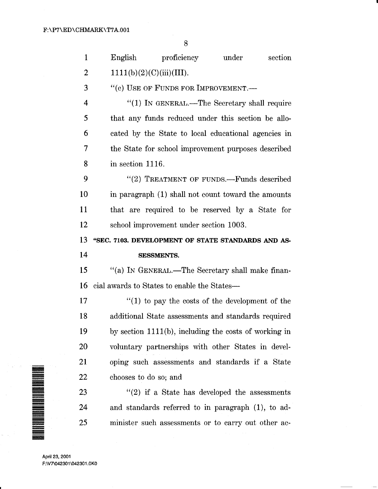| $\mathbf{1}$ | English               | $\rm{proficiency}$                          | under                                                    | section |
|--------------|-----------------------|---------------------------------------------|----------------------------------------------------------|---------|
| 2            |                       | 1111(b)(2)(C)(iii)(III).                    |                                                          |         |
| 3            |                       | "(c) USE OF FUNDS FOR IMPROVEMENT.-         |                                                          |         |
| 4            |                       |                                             | "(1) IN GENERAL.—The Secretary shall require             |         |
| 5            |                       |                                             | that any funds reduced under this section be allo-       |         |
| 6            |                       |                                             | cated by the State to local educational agencies in      |         |
| 7            |                       |                                             | the State for school improvement purposes described      |         |
| 8            | in section 1116.      |                                             |                                                          |         |
| 9            |                       |                                             | "(2) TREATMENT OF FUNDS.—Funds described                 |         |
| 10           |                       |                                             | in paragraph (1) shall not count toward the amounts      |         |
| 11           |                       |                                             | that are required to be reserved by a State for          |         |
| 12           |                       | school improvement under section 1003.      |                                                          |         |
|              |                       |                                             |                                                          |         |
| 13           |                       |                                             | "SEC. 7103. DEVELOPMENT OF STATE STANDARDS AND AS-       |         |
| 14           |                       | <b>SESSMENTS.</b>                           |                                                          |         |
| 15           |                       |                                             | "(a) IN GENERAL.—The Secretary shall make finan-         |         |
| 16           |                       | cial awards to States to enable the States— |                                                          |         |
| 17           |                       |                                             | $f(1)$ to pay the costs of the development of the        |         |
| 18           |                       |                                             | additional State assessments and standards required      |         |
| 19           |                       |                                             | by section $1111(b)$ , including the costs of working in |         |
| 20           |                       |                                             | voluntary partnerships with other States in devel-       |         |
| 21           |                       |                                             | oping such assessments and standards if a State          |         |
| 22           | chooses to do so; and |                                             |                                                          |         |
| 23           |                       |                                             | $\lq(2)$ if a State has developed the assessments        |         |

minister such assessments or to carry out other ac-



April 23, 2001 F:\V7\042301\042301.0KO

25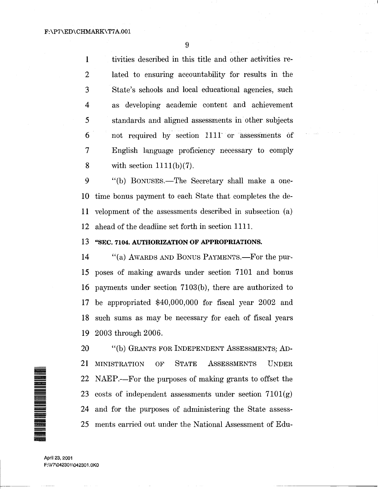**1** tivities described in this title and other activities re-2 lated to ensuring accountability for results in the 3 State's schools and local educational agencies, such 4 as developing academic content and achievement 5 standards and aligned assessments in other subjects 6 not required by section 1111· or assessments of 7 English language proficiency necessary to comply 8 with section  $1111(b)(7)$ .

9 "(b) BONUSES.—The Secretary shall make a one-10 time bonus payment to each State that completes the dell velopment of the assessments described in subsection (a) 12 ahead of the deadline set forth in section 1111.

#### 13 "SEC. **7104. AUTHORIZATION OF APPROPRIATIONS.**

14 "(a) AWARDS AND BONUS PAYMENTS.—For the pur-15 poses of making awards under section 7101 and bonus 16 payments under section 7103(b), there are authorized to 17 be appropriated \$40,000,000 for fiscal year 2002 and 18 such sums as may be necessary for each of fiscal years 19 2003 through 2006.

20 "(b) GRANTS FOR INDEPENDENT ASSESSMENTS; AD-21 MINISTRATION OF STATE AsSESSMENTS UNDER 22 23 costs of independent assessments under section 7101(g) 24 and for the purposes of administering the State assess-25 ments carried out under the National Assessment of Edu-NAEP.—For the purposes of making grants to offset the